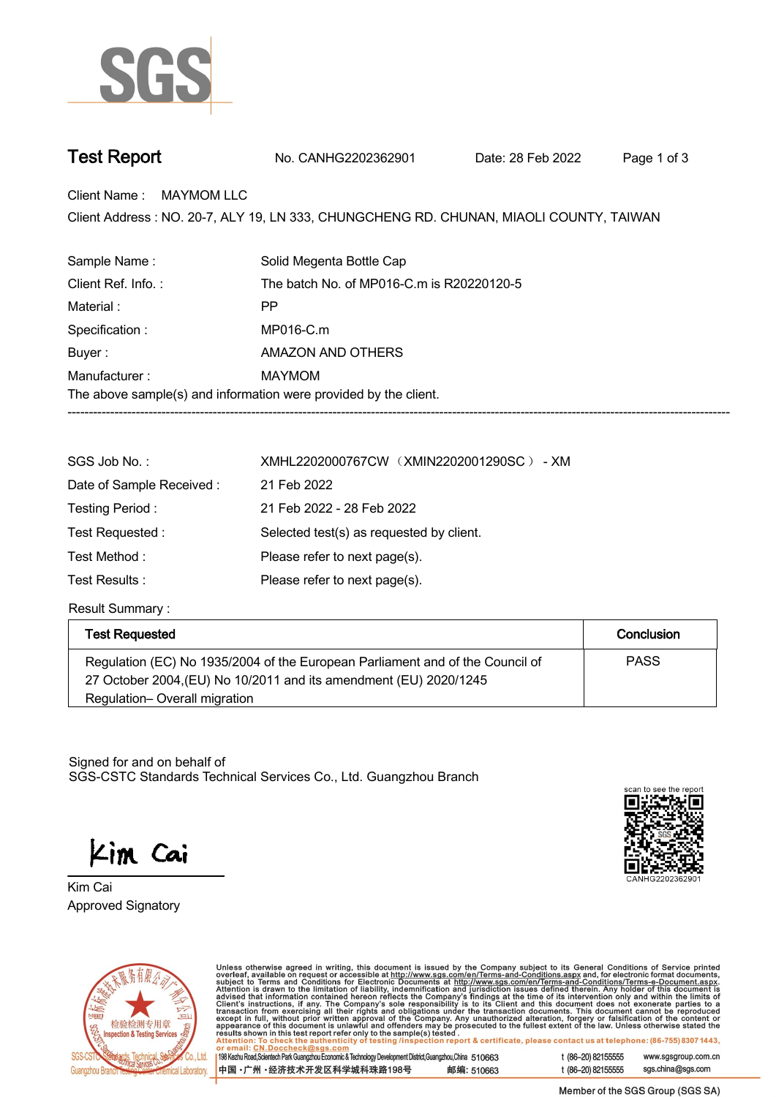

## **Test Report. No. CANHG2202362901 . Date: 28 Feb 2022. Page 1 of 3.**

**Client Name : MAYMOM LLC.**

Client Address : NO. 20-7, ALY 19, LN 333, CHUNGCHENG RD. CHUNAN, MIAOLI COUNTY, TAIWAN<br>.

| Sample Name:                                                     | Solid Megenta Bottle Cap                  |  |
|------------------------------------------------------------------|-------------------------------------------|--|
| Client Ref. Info.:                                               | The batch No. of MP016-C.m is R20220120-5 |  |
| Material:                                                        | РP                                        |  |
| Specification :                                                  | MP016-C.m                                 |  |
| Buyer:                                                           | AMAZON AND OTHERS                         |  |
| Manufacturer:                                                    | MAYMOM                                    |  |
| The above sample(s) and information were provided by the client. |                                           |  |
|                                                                  |                                           |  |

| SGS Job No.:             | XMHL2202000767CW (XMIN2202001290SC) - XM |
|--------------------------|------------------------------------------|
| Date of Sample Received: | 21 Feb 2022                              |
| Testing Period:          | 21 Feb 2022 - 28 Feb 2022                |
| Test Requested:          | Selected test(s) as requested by client. |
| Test Method :            | Please refer to next page(s).            |
| Test Results :           | Please refer to next page(s).            |

**Result Summary :.**

| <b>Test Requested</b>                                                         | Conclusion  |
|-------------------------------------------------------------------------------|-------------|
| Regulation (EC) No 1935/2004 of the European Parliament and of the Council of | <b>PASS</b> |
| 27 October 2004, (EU) No 10/2011 and its amendment (EU) 2020/1245             |             |
| Regulation-Overall migration                                                  |             |

Signed for and on behalf of SGS-CSTC Standards Technical Services Co., Ltd. Guangzhou Branch.

Kim Cai

**Approved Signatory . . . Kim Cai.**





Unless otherwise agreed in writing, this document is issued by the Company subject to its General Conditions of Service printed overleaf, available on request or accessible at http://www.sgs.com/en/Terms-and-Conditions.as

198 Kezhu Road, Scientech Park Guangzhou Economic & Technology Development District, Guangzhou, China 510663 中国·广州·经济技术开发区科学城科珠路198号 邮编: 510663 t (86-20) 82155555 www.sgsgroup.com.cn sgs.china@sgs.com t (86-20) 82155555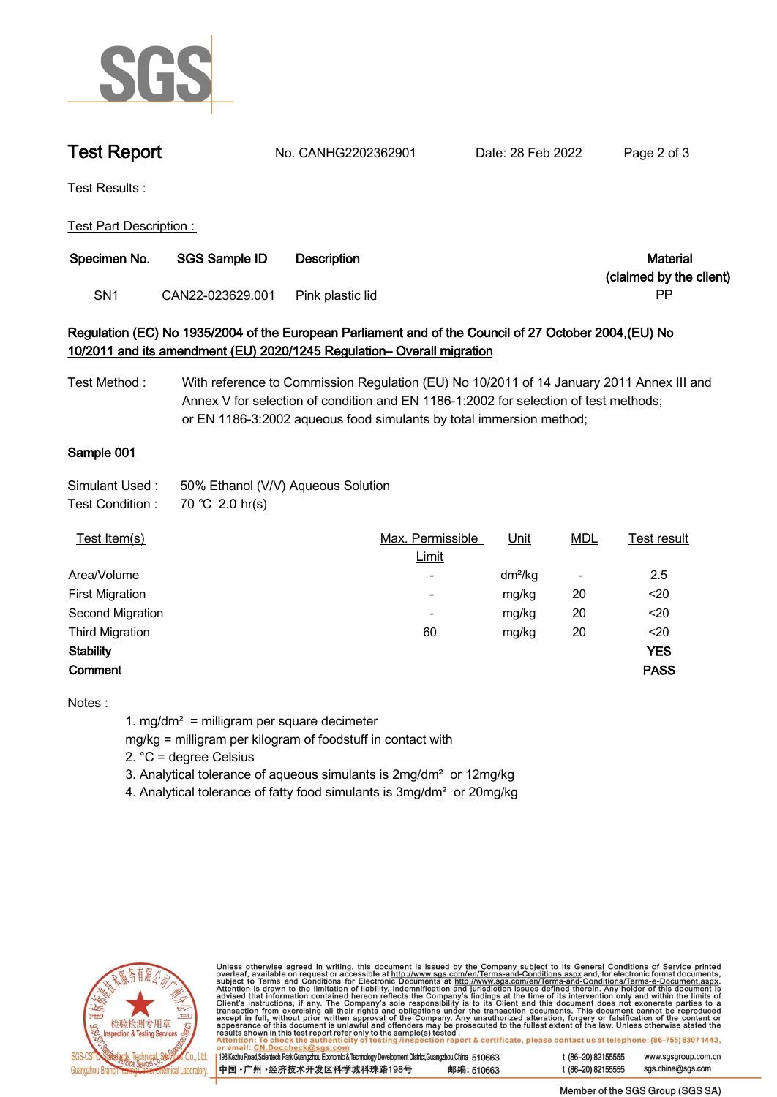

**Test Report. No. CANHG2202362901 . Date: 28 Feb 2022. Page 2 of 3.**

**Test Results :.**

**Test Part Description : .**

| Specimen No. | <b>SGS Sample ID</b> | <b>Description</b> | Material                |
|--------------|----------------------|--------------------|-------------------------|
|              |                      |                    | (claimed by the client) |
| SN1          | CAN22-023629.001     | Pink plastic lid   | РF                      |

# **Regulation (EC) No 1935/2004 of the European Parliament and of the Council of 27 October 2004,(EU) No 10/2011 and its amendment (EU) 2020/1245 Regulation– Overall migration**

**Test Method : With reference to Commission Regulation (EU) No 10/2011 of 14 January 2011 Annex III and Annex V for selection of condition and EN 1186-1:2002 for selection of test methods; or EN 1186-3:2002 aqueous food simulants by total immersion method;**

### **Sample 001.**

| Simulant Used : | 50% Ethanol (V/V) Aqueous Solution |
|-----------------|------------------------------------|
| _ _ _           | $    -$                            |

**Test Condition :. 70.℃ 2.0.hr(s).**

| Test Item(s)           | Max. Permissible         | Unit      | <b>MDL</b>               | Test result |
|------------------------|--------------------------|-----------|--------------------------|-------------|
|                        | Limit                    |           |                          |             |
| Area/Volume            | $\overline{\phantom{a}}$ | $dm^2/kg$ | $\overline{\phantom{a}}$ | 2.5         |
| <b>First Migration</b> | $\overline{\phantom{a}}$ | mg/kg     | 20                       | $20$        |
| Second Migration       | $\overline{\phantom{0}}$ | mg/kg     | 20                       | $20$        |
| <b>Third Migration</b> | 60                       | mg/kg     | 20                       | $20$        |
| <b>Stability</b>       |                          |           |                          | <b>YES</b>  |
| Comment                |                          |           |                          | <b>PASS</b> |
|                        |                          |           |                          |             |

**Notes :**

**1. mg/dm² = milligram per square decimeter**

**mg/kg = milligram per kilogram of foodstuff in contact with**

**2. °C = degree Celsius**

**3. Analytical tolerance of aqueous simulants is 2mg/dm² or 12mg/kg**

**4. Analytical tolerance of fatty food simulants is 3mg/dm² or 20mg/kg .**



Unless otherwise agreed in writing, this document is issued by the Company subject to its General Conditions of Service printed<br>overleaf, available on request or accessible at http://www.sgs.com/en/Terms-and-Conditions.as

| 198 Kezhu Road,Scientech Park Guangzhou Economic & Technology Development District,Guangzhou,China 510663 |            |
|-----------------------------------------------------------------------------------------------------------|------------|
| 【中国 • 广州 • 经济技术开发区科学城科珠路198号 ↓                                                                            | 邮编: 510663 |

www.sgsgroup.com.cn

t (86-20) 82155555